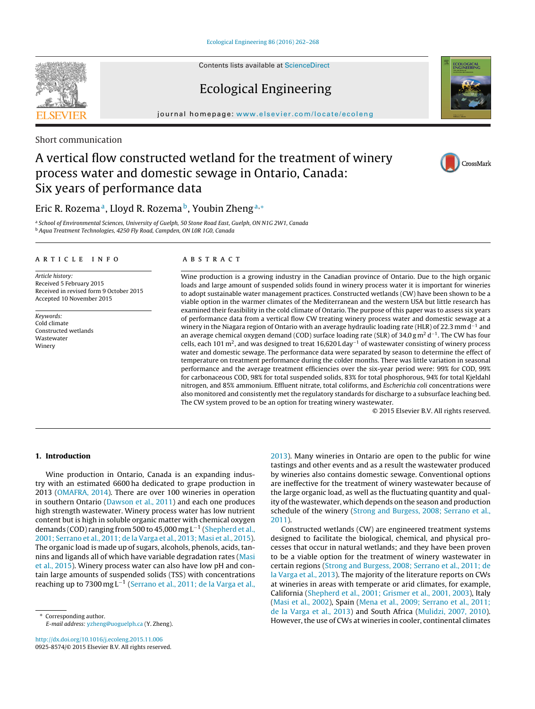Contents lists available at [ScienceDirect](http://www.sciencedirect.com/science/journal/09258574)

# Ecological Engineering

journal homepage: [www.elsevier.com/locate/ecoleng](http://www.elsevier.com/locate/ecoleng)

Short communication

# A vertical flow constructed wetland for the treatment of winery process water and domestic sewage in Ontario, Canada: Six years of performance data

## Eric R. Rozema<sup>a</sup>, Lloyd R. Rozema<sup>b</sup>, Youbin Zheng<sup>a,∗</sup>

a School of Environmental Sciences, University of Guelph, 50 Stone Road East, Guelph, ON N1G 2W1, Canada <sup>b</sup> Aqua Treatment Technologies, 4250 Fly Road, Campden, ON L0R 1G0, Canada

#### a r t i c l e i n f o

Article history: Received 5 February 2015 Received in revised form 9 October 2015 Accepted 10 November 2015

Keywords: Cold climate Constructed wetlands Wastewater Winery

#### A B S T R A C T

Wine production is a growing industry in the Canadian province of Ontario. Due to the high organic loads and large amount of suspended solids found in winery process water it is important for wineries to adopt sustainable water management practices. Constructed wetlands (CW) have been shown to be a viable option in the warmer climates of the Mediterranean and the western USA but little research has examined their feasibility in the cold climate of Ontario. The purpose of this paper was to assess six years of performance data from a vertical flow CW treating winery process water and domestic sewage at a winery in the Niagara region of Ontario with an average hydraulic loading rate (HLR) of 22.3 mm d<sup>-1</sup> and an average chemical oxygen demand (COD) surface loading rate (SLR) of 34.0 g m<sup>2</sup> d<sup>-1</sup>. The CW has four cells, each 101 m2, and was designed to treat 16,620 L day−<sup>1</sup> of wastewater consisting of winery process water and domestic sewage. The performance data were separated by season to determine the effect of temperature on treatment performance during the colder months. There was little variation in seasonal performance and the average treatment efficiencies over the six-year period were: 99% for COD, 99% for carbonaceous COD, 98% for total suspended solids, 83% for total phosphorous, 94% for total Kjeldahl nitrogen, and 85% ammonium. Effluent nitrate, total coliforms, and Escherichia coli concentrations were also monitored and consistently met the regulatory standards for discharge to a subsurface leaching bed. The CW system proved to be an option for treating winery wastewater.

© 2015 Elsevier B.V. All rights reserved.

### 1. Introduction

Wine production in Ontario, Canada is an expanding industry with an estimated 6600 ha dedicated to grape production in 2013 [\(OMAFRA,](#page-5-0) [2014\).](#page-5-0) There are over 100 wineries in operation in southern Ontario [\(Dawson](#page-5-0) et [al.,](#page-5-0) [2011\)](#page-5-0) and each one produces high strength wastewater. Winery process water has low nutrient content but is high in soluble organic matter with chemical oxygen demands (COD) ranging from 500 to 45,000 mg L−<sup>1</sup> [\(Shepherd](#page-6-0) et [al.,](#page-6-0) [2001;](#page-6-0) [Serrano](#page-6-0) et [al.,](#page-6-0) [2011;](#page-6-0) [de](#page-6-0) [la](#page-6-0) [Varga](#page-6-0) et [al.,](#page-6-0) [2013;](#page-6-0) [Masi](#page-6-0) et [al.,](#page-6-0) [2015\).](#page-6-0) The organic load is made up of sugars, alcohols, phenols, acids, tannins and ligands all of which have variable degradation rates [\(Masi](#page-5-0) et [al.,](#page-5-0) [2015\).](#page-5-0) Winery process water can also have low pH and contain large amounts of suspended solids (TSS) with concentrations reaching up to 7300 mg L−<sup>1</sup> ([Serrano](#page-6-0) et [al.,](#page-6-0) [2011;](#page-6-0) [de](#page-6-0) [la](#page-6-0) [Varga](#page-6-0) et [al.,](#page-6-0)

∗ Corresponding author. E-mail address: [yzheng@uoguelph.ca](mailto:yzheng@uoguelph.ca) (Y. Zheng).

[http://dx.doi.org/10.1016/j.ecoleng.2015.11.006](dx.doi.org/10.1016/j.ecoleng.2015.11.006) 0925-8574/© 2015 Elsevier B.V. All rights reserved.

[2013\).](#page-6-0) Many wineries in Ontario are open to the public for wine tastings and other events and as a result the wastewater produced by wineries also contains domestic sewage. Conventional options are ineffective for the treatment of winery wastewater because of the large organic load, as well as the fluctuating quantity and quality of the wastewater, which depends on the season and production schedule of the winery [\(Strong](#page-6-0) [and](#page-6-0) [Burgess,](#page-6-0) [2008;](#page-6-0) [Serrano](#page-6-0) et [al.,](#page-6-0) [2011\).](#page-6-0)

Constructed wetlands (CW) are engineered treatment systems designed to facilitate the biological, chemical, and physical processes that occur in natural wetlands; and they have been proven to be a viable option for the treatment of winery wastewater in certain regions ([Strong](#page-6-0) [and](#page-6-0) [Burgess,](#page-6-0) [2008;](#page-6-0) [Serrano](#page-6-0) et [al.,](#page-6-0) [2011;](#page-6-0) [de](#page-6-0) [la](#page-6-0) [Varga](#page-6-0) et [al.,](#page-6-0) [2013\).](#page-6-0) The majority of the literature reports on CWs at wineries in areas with temperate or arid climates, for example, California ([Shepherd](#page-6-0) et [al.,](#page-6-0) [2001;](#page-6-0) [Grismer](#page-6-0) et [al.,](#page-6-0) [2001,](#page-6-0) [2003\),](#page-6-0) Italy [\(Masi](#page-5-0) et [al.,](#page-5-0) [2002\),](#page-5-0) Spain ([Mena](#page-5-0) et [al.,](#page-5-0) [2009;](#page-5-0) [Serrano](#page-5-0) et [al.,](#page-5-0) [2011;](#page-5-0) [de](#page-5-0) [la](#page-5-0) [Varga](#page-5-0) et [al.,](#page-5-0) [2013\)](#page-5-0) and South Africa [\(Mulidzi,](#page-5-0) [2007,](#page-5-0) [2010\).](#page-5-0) However, the use of CWs at wineries in cooler, continental climates







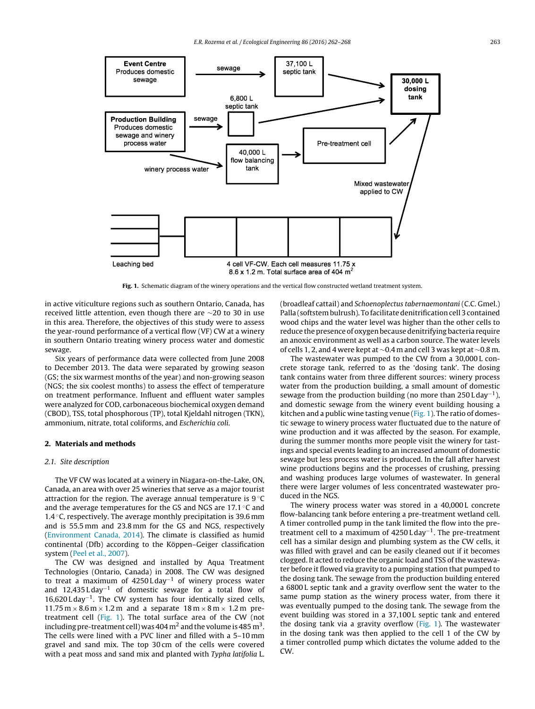<span id="page-1-0"></span>

Fig. 1. Schematic diagram of the winery operations and the vertical flow constructed wetland treatment system.

in active viticulture regions such as southern Ontario, Canada, has received little attention, even though there are ∼20 to 30 in use in this area. Therefore, the objectives of this study were to assess the year-round performance of a vertical flow (VF) CW at a winery in southern Ontario treating winery process water and domestic sewage.

Six years of performance data were collected from June 2008 to December 2013. The data were separated by growing season (GS; the six warmest months of the year) and non-growing season (NGS; the six coolest months) to assess the effect of temperature on treatment performance. Influent and effluent water samples were analyzed for COD, carbonaceous biochemical oxygen demand (CBOD), TSS, total phosphorous (TP), total Kjeldahl nitrogen (TKN), ammonium, nitrate, total coliforms, and Escherichia coli.

#### 2. Materials and methods

#### 2.1. Site description

The VF CW was located at a winery in Niagara-on-the-Lake, ON, Canada, an area with over 25 wineries that serve as a major tourist attraction for the region. The average annual temperature is  $9^{\circ}C$ and the average temperatures for the GS and NGS are 17.1 ◦C and 1.4  $\degree$ C, respectively. The average monthly precipitation is 39.6 mm and is 55.5 mm and 23.8 mm for the GS and NGS, respectively ([Environment](#page-5-0) [Canada,](#page-5-0) [2014\).](#page-5-0) The climate is classified as humid continental (Dfb) according to the Köppen–Geiger classification system ([Peel](#page-6-0) et [al.,](#page-6-0) [2007\).](#page-6-0)

The CW was designed and installed by Aqua Treatment Technologies (Ontario, Canada) in 2008. The CW was designed to treat a maximum of 4250 L day<sup>-1</sup> of winery process water and 12,435 L day<sup>-1</sup> of domestic sewage for a total flow of  $16,620$  L day<sup>-1</sup>. The CW system has four identically sized cells,  $11.75 \text{ m} \times 8.6 \text{ m} \times 1.2 \text{ m}$  and a separate  $18 \text{ m} \times 8 \text{ m} \times 1.2 \text{ m}$  pretreatment cell (Fig. 1). The total surface area of the CW (not including pre-treatment cell) was 404  $\mathrm{m}^2$  and the volume is 485  $\mathrm{m}^3$ . The cells were lined with a PVC liner and filled with a 5–10 mm gravel and sand mix. The top 30 cm of the cells were covered with a peat moss and sand mix and planted with Typha latifolia L.

(broadleaf cattail) and Schoenoplectus tabernaemontani (C.C. Gmel.) Palla (softstem bulrush). To facilitate denitrification cell 3 contained wood chips and the water level was higher than the other cells to reduce the presence of oxygen because denitrifying bacteria require an anoxic environment as well as a carbon source. The water levels of cells 1, 2, and 4 were kept at ∼0.4 m and cell 3 was kept at ∼0.8 m.

The wastewater was pumped to the CW from a 30,000 L concrete storage tank, referred to as the 'dosing tank'. The dosing tank contains water from three different sources: winery process water from the production building, a small amount of domestic sewage from the production building (no more than 250 L day<sup>-1</sup>), and domestic sewage from the winery event building housing a kitchen and a public wine tasting venue (Fig. 1). The ratio of domestic sewage to winery process water fluctuated due to the nature of wine production and it was affected by the season. For example, during the summer months more people visit the winery for tastings and special events leading to an increased amount of domestic sewage but less process water is produced. In the fall after harvest wine productions begins and the processes of crushing, pressing and washing produces large volumes of wastewater. In general there were larger volumes of less concentrated wastewater produced in the NGS.

The winery process water was stored in a 40,000 L concrete flow-balancing tank before entering a pre-treatment wetland cell. A timer controlled pump in the tank limited the flow into the pretreatment cell to a maximum of  $4250$  L day<sup>-1</sup>. The pre-treatment cell has a similar design and plumbing system as the CW cells, it was filled with gravel and can be easily cleaned out if it becomes clogged. It acted to reduce the organic load and TSS of the wastewater before it flowed via gravity to a pumping station that pumped to the dosing tank. The sewage from the production building entered a 6800 L septic tank and a gravity overflow sent the water to the same pump station as the winery process water, from there it was eventually pumped to the dosing tank. The sewage from the event building was stored in a 37,100 L septic tank and entered the dosing tank via a gravity overflow (Fig. 1). The wastewater in the dosing tank was then applied to the cell 1 of the CW by a timer controlled pump which dictates the volume added to the CW.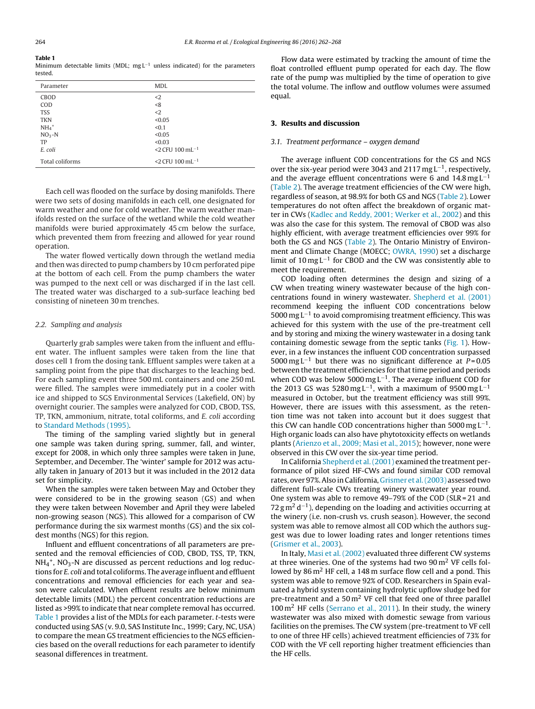Table 1 Minimum detectable limits (MDL; mg L−<sup>1</sup> unless indicated) for the parameters tested.

| Parameter           | <b>MDL</b>                     |
|---------------------|--------------------------------|
| CBOD                | $2$                            |
| COD                 | < 8                            |
| <b>TSS</b>          | $2$                            |
| <b>TKN</b>          | < 0.05                         |
| $NH_4$ <sup>+</sup> | < 0.1                          |
| $NO3-N$             | < 0.05                         |
| TP                  | < 0.03                         |
| E. coli             | $2$ CFU 100 mL <sup>-1</sup>   |
| Total coliforms     | $<$ 2 CFU 100 mL <sup>-1</sup> |

Each cell was flooded on the surface by dosing manifolds. There were two sets of dosing manifolds in each cell, one designated for warm weather and one for cold weather. The warm weather manifolds rested on the surface of the wetland while the cold weather manifolds were buried approximately 45 cm below the surface, which prevented them from freezing and allowed for year round operation.

The water flowed vertically down through the wetland media and then was directed to pump chambers by 10 cm perforated pipe at the bottom of each cell. From the pump chambers the water was pumped to the next cell or was discharged if in the last cell. The treated water was discharged to a sub-surface leaching bed consisting of nineteen 30 m trenches.

#### 2.2. Sampling and analysis

Quarterly grab samples were taken from the influent and effluent water. The influent samples were taken from the line that doses cell 1 from the dosing tank. Effluent samples were taken at a sampling point from the pipe that discharges to the leaching bed. For each sampling event three 500 mL containers and one 250 mL were filled. The samples were immediately put in a cooler with ice and shipped to SGS Environmental Services (Lakefield, ON) by overnight courier. The samples were analyzed for COD, CBOD, TSS, TP, TKN, ammonium, nitrate, total coliforms, and E. coli according to [Standard](#page-6-0) [Methods](#page-6-0) [\(1995\).](#page-6-0)

The timing of the sampling varied slightly but in general one sample was taken during spring, summer, fall, and winter, except for 2008, in which only three samples were taken in June, September, and December. The 'winter' sample for 2012 was actually taken in January of 2013 but it was included in the 2012 data set for simplicity.

When the samples were taken between May and October they were considered to be in the growing season (GS) and when they were taken between November and April they were labeled non-growing season (NGS). This allowed for a comparison of CW performance during the six warmest months (GS) and the six coldest months (NGS) for this region.

Influent and effluent concentrations of all parameters are presented and the removal efficiencies of COD, CBOD, TSS, TP, TKN,  $NH_4^+$ , NO<sub>3</sub>-N are discussed as percent reductions and log reductions for E. coli and total coliforms. The average influent and effluent concentrations and removal efficiencies for each year and season were calculated. When effluent results are below minimum detectable limits (MDL) the percent concentration reductions are listed as >99% to indicate that near complete removal has occurred. Table 1 provides a list of the MDLs for each parameter. t-tests were conducted using SAS (v. 9.0, SAS Institute Inc., 1999; Cary, NC, USA) to compare the mean GS treatment efficiencies to the NGS efficiencies based on the overall reductions for each parameter to identify seasonal differences in treatment.

Flow data were estimated by tracking the amount of time the float controlled effluent pump operated for each day. The flow rate of the pump was multiplied by the time of operation to give the total volume. The inflow and outflow volumes were assumed equal.

#### 3. Results and discussion

#### 3.1. Treatment performance – oxygen demand

The average influent COD concentrations for the GS and NGS over the six-year period were 3043 and 2117 mg L−1, respectively, and the average effluent concentrations were 6 and  $14.8 \text{ mg L}^{-1}$ [\(Table](#page-3-0) 2). The average treatment efficiencies of the CW were high, regardless of season, at 98.9% for both GS and NGS [\(Table](#page-3-0) 2). Lower temperatures do not often affect the breakdown of organic matter in CWs [\(Kadlec](#page-5-0) [and](#page-5-0) [Reddy,](#page-5-0) [2001;](#page-5-0) [Werker](#page-5-0) et [al.,](#page-5-0) [2002\)](#page-5-0) and this was also the case for this system. The removal of CBOD was also highly efficient, with average treatment efficiencies over 99% for both the GS and NGS ([Table](#page-3-0) 2). The Ontario Ministry of Environment and Climate Change (MOECC; [OWRA,](#page-6-0) [1990\)](#page-6-0) set a discharge limit of 10 mg L−<sup>1</sup> for CBOD and the CW was consistently able to meet the requirement.

COD loading often determines the design and sizing of a CW when treating winery wastewater because of the high concentrations found in winery wastewater. [Shepherd](#page-6-0) et [al.](#page-6-0) [\(2001\)](#page-6-0) recommend keeping the influent COD concentrations below 5000 mg  $L^{-1}$  to avoid compromising treatment efficiency. This was achieved for this system with the use of the pre-treatment cell and by storing and mixing the winery wastewater in a dosing tank containing domestic sewage from the septic tanks ([Fig.](#page-1-0) 1). However, in a few instances the influent COD concentration surpassed 5000 mg L<sup>-1</sup> but there was no significant difference at  $P = 0.05$ between the treatment efficiencies for that time period and periods when COD was below 5000 mg L<sup>-1</sup>. The average influent COD for the 2013 GS was 5280 mg L<sup>-1</sup>, with a maximum of 9500 mg L<sup>-1</sup> measured in October, but the treatment efficiency was still 99%. However, there are issues with this assessment, as the retention time was not taken into account but it does suggest that this CW can handle COD concentrations higher than 5000 mg  $L^{-1}$ . High organic loads can also have phytotoxicity effects on wetlands plants ([Arienzo](#page-5-0) et [al.,](#page-5-0) [2009;](#page-5-0) [Masi](#page-5-0) et [al.,](#page-5-0) [2015\);](#page-5-0) however, none were observed in this CW over the six-year time period.

In California [Shepherd](#page-6-0) et [al.\(2001\)](#page-6-0) examined the treatment performance of pilot sized HF-CWs and found similar COD removal rates, over 97%.Also in California, [Grismer](#page-5-0) et [al.\(2003\)](#page-5-0) assessed two different full-scale CWs treating winery wastewater year round. One system was able to remove 49–79% of the COD (SLR = 21 and  $72 \text{ g m}^2 \text{ d}^{-1}$ ), depending on the loading and activities occurring at the winery (i.e. non-crush vs. crush season). However, the second system was able to remove almost all COD which the authors suggest was due to lower loading rates and longer retentions times [\(Grismer](#page-5-0) et [al.,](#page-5-0) [2003\).](#page-5-0)

In Italy, [Masi](#page-5-0) et [al.](#page-5-0) [\(2002\)](#page-5-0) evaluated three different CW systems at three wineries. One of the systems had two  $90 \,\mathrm{m}^2$  VF cells followed by  $86 \text{ m}^2$  HF cell, a 148 m surface flow cell and a pond. This system was able to remove 92% of COD. Researchers in Spain evaluated a hybrid system containing hydrolytic upflow sludge bed for pre-treatment and a  $50 \,\mathrm{m}^2$  VF cell that feed one of three parallel  $100 \,\mathrm{m}^2$  HF cells [\(Serrano](#page-6-0) et [al.,](#page-6-0) [2011\).](#page-6-0) In their study, the winery wastewater was also mixed with domestic sewage from various facilities on the premises. The CW system (pre-treatment to VF cell to one of three HF cells) achieved treatment efficiencies of 73% for COD with the VF cell reporting higher treatment efficiencies than the HF cells.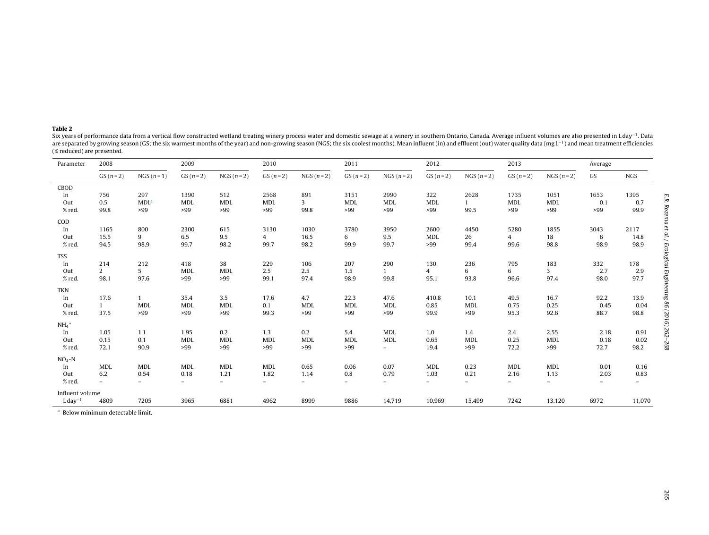#### <span id="page-3-0"></span>Table 2

 Six years of performance data from <sup>a</sup> vertical flow constructed wetland treating winery process water and domestic sewage at <sup>a</sup> winery in southern Ontario, Canada. Average influent volumes are also presented in <sup>L</sup> day−1. Data are separated by growing season (GS; the six warmest months of the year) and non-growing season (NGS; the six coolest months). Mean influent (in) and effluent (out) water quality data (mg L<sup>-1</sup>) and mean treatment efficien (% reduced) are presented.

| Parameter             | 2008                     |                  | 2009       |                          | 2010                     |                          | 2011       |              | 2012                     |              | 2013       |                          | Average |                          |
|-----------------------|--------------------------|------------------|------------|--------------------------|--------------------------|--------------------------|------------|--------------|--------------------------|--------------|------------|--------------------------|---------|--------------------------|
|                       | $GS(n=2)$                | $NGS(n=1)$       | $GS(n=2)$  | $NGS(n=2)$               | $GS(n=2)$                | $NGS(n=2)$               | $GS(n=2)$  | $NGS(n=2)$   | $GS(n=2)$                | $NGS(n=2)$   | $GS(n=2)$  | $NGS(n=2)$               | GS      | <b>NGS</b>               |
| CBOD                  |                          |                  |            |                          |                          |                          |            |              |                          |              |            |                          |         |                          |
| In                    | 756                      | 297              | 1390       | 512                      | 2568                     | 891                      | 3151       | 2990         | 322                      | 2628         | 1735       | 1051                     | 1653    | 1395                     |
| Out                   | 0.5                      | MDL <sup>a</sup> | <b>MDL</b> | <b>MDL</b>               | <b>MDL</b>               | 3                        | <b>MDL</b> | <b>MDL</b>   | <b>MDL</b>               | $\mathbf{1}$ | <b>MDL</b> | <b>MDL</b>               | 0.1     | 0.7                      |
| % red.                | 99.8                     | >99              | >99        | >99                      | >99                      | 99.8                     | >99        | >99          | >99                      | 99.5         | >99        | >99                      | >99     | 99.9                     |
| COD                   |                          |                  |            |                          |                          |                          |            |              |                          |              |            |                          |         |                          |
| In                    | 1165                     | 800              | 2300       | 615                      | 3130                     | 1030                     | 3780       | 3950         | 2600                     | 4450         | 5280       | 1855                     | 3043    | 2117                     |
| Out                   | 15.5                     | 9                | 6.5        | 9.5                      | 4                        | 16.5                     | 6          | 9.5          | <b>MDL</b>               | 26           | 4          | 18                       | 6       | 14.8                     |
| % red.                | 94.5                     | 98.9             | 99.7       | 98.2                     | 99.7                     | 98.2                     | 99.9       | 99.7         | >99                      | 99.4         | 99.6       | 98.8                     | 98.9    | 98.9                     |
| TSS                   |                          |                  |            |                          |                          |                          |            |              |                          |              |            |                          |         |                          |
| In                    | 214                      | 212              | 418        | 38                       | 229                      | 106                      | 207        | 290          | 130                      | 236          | 795        | 183                      | 332     | 178                      |
| Out                   | $\overline{a}$           | 5 <sup>1</sup>   | <b>MDL</b> | <b>MDL</b>               | 2.5                      | 2.5                      | 1.5        | $\mathbf{1}$ | 4                        | 6            | 6          | $\overline{\mathbf{3}}$  | 2.7     | 2.9                      |
| % red.                | 98.1                     | 97.6             | >99        | >99                      | 99.1                     | 97.4                     | 98.9       | 99.8         | 95.1                     | 93.8         | 96.6       | 97.4                     | 98.0    | 97.7                     |
| <b>TKN</b>            |                          |                  |            |                          |                          |                          |            |              |                          |              |            |                          |         |                          |
| In                    | 17.6                     |                  | 35.4       | 3.5                      | 17.6                     | 4.7                      | 22.3       | 47.6         | 410.8                    | 10.1         | 49.5       | 16.7                     | 92.2    | 13.9                     |
| Out                   | $\mathbf{1}$             | <b>MDL</b>       | <b>MDL</b> | <b>MDL</b>               | 0.1                      | <b>MDL</b>               | <b>MDL</b> | MDL          | 0.85                     | <b>MDL</b>   | 0.75       | 0.25                     | 0.45    | 0.04                     |
| % red.                | 37.5                     | >99              | >99        | >99                      | 99.3                     | >99                      | >99        | >99          | 99.9                     | >99          | 95.3       | 92.6                     | 88.7    | 98.8                     |
| $NH_4$ <sup>+</sup>   |                          |                  |            |                          |                          |                          |            |              |                          |              |            |                          |         |                          |
| In                    | 1.05                     | 1.1              | 1.95       | 0.2                      | 1.3                      | 0.2                      | 5.4        | <b>MDL</b>   | 1.0                      | 1.4          | 2.4        | 2.55                     | 2.18    | 0.91                     |
| Out                   | 0.15                     | 0.1              | <b>MDL</b> | <b>MDL</b>               | <b>MDL</b>               | <b>MDL</b>               | <b>MDL</b> | MDL          | 0.65                     | <b>MDL</b>   | 0.25       | <b>MDL</b>               | 0.18    | 0.02                     |
| % red.                | 72.1                     | 90.9             | >99        | >99                      | >99                      | >99                      | >99        | $\sim$       | 19.4                     | >99          | 72.2       | >99                      | 72.7    | 98.2                     |
| $NO3-N$               |                          |                  |            |                          |                          |                          |            |              |                          |              |            |                          |         |                          |
| In                    | <b>MDL</b>               | MDL              | MDL        | <b>MDL</b>               | <b>MDL</b>               | 0.65                     | 0.06       | 0.07         | MDL                      | 0.23         | <b>MDL</b> | <b>MDL</b>               | 0.01    | 0.16                     |
| Out                   | 6.2                      | 0.54             | 0.18       | 1.21                     | 1.82                     | 1.14                     | 0.8        | 0.79         | 1.03                     | 0.21         | 2.16       | 1.13                     | 2.03    | 0.83                     |
| % red.                | $\overline{\phantom{a}}$ | $\sim$           | $\sim$     | $\overline{\phantom{0}}$ | $\overline{\phantom{0}}$ | $\overline{\phantom{a}}$ | $\sim$     | $\sim$       | $\overline{\phantom{0}}$ | $\sim$       | $\sim$     | $\overline{\phantom{a}}$ | $\sim$  | $\overline{\phantom{a}}$ |
| Influent volume       |                          |                  |            |                          |                          |                          |            |              |                          |              |            |                          |         |                          |
| $L$ day <sup>-1</sup> | 4809                     | 7205             | 3965       | 6881                     | 4962                     | 8999                     | 9886       | 14,719       | 10,969                   | 15,499       | 7242       | 13,120                   | 6972    | 11,070                   |

<sup>a</sup> Below minimum detectable limit.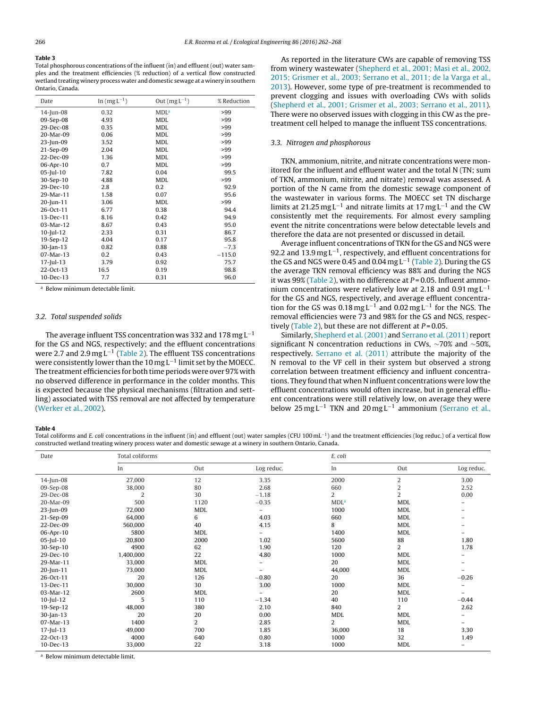#### <span id="page-4-0"></span>Table 3

Total phosphorous concentrations of the influent (in) and effluent (out) water samples and the treatment efficiencies (% reduction) of a vertical flow constructed wetland treating winery process water and domestic sewage at a winery in southern Ontario, Canada.

| Date         | In $(mgL^{-1})$ | Out $(mgL^{-1})$ | % Reduction |
|--------------|-----------------|------------------|-------------|
| $14$ -Jun-08 | 0.32            | MDL <sup>a</sup> | >99         |
| 09-Sep-08    | 4.93            | <b>MDL</b>       | >99         |
| 29-Dec-08    | 0.35            | <b>MDL</b>       | >99         |
| 20-Mar-09    | 0.06            | <b>MDL</b>       | >99         |
| 23-Jun-09    | 3.52            | <b>MDL</b>       | >99         |
| 21-Sep-09    | 2.04            | <b>MDL</b>       | >99         |
| 22-Dec-09    | 1.36            | <b>MDL</b>       | >99         |
| 06-Apr-10    | 0.7             | <b>MDL</b>       | >99         |
| $05$ -Jul-10 | 7.82            | 0.04             | 99.5        |
| 30-Sep-10    | 4.88            | <b>MDL</b>       | >99         |
| 29-Dec-10    | 2.8             | 0.2              | 92.9        |
| 29-Mar-11    | 1.58            | 0.07             | 95.6        |
| 20-Jun-11    | 3.06            | <b>MDL</b>       | >99         |
| 26-Oct-11    | 6.77            | 0.38             | 94.4        |
| 13-Dec-11    | 8.16            | 0.42             | 94.9        |
| 03-Mar-12    | 8.67            | 0.43             | 95.0        |
| $10$ -Jul-12 | 2.33            | 0.31             | 86.7        |
| 19-Sep-12    | 4.04            | 0.17             | 95.8        |
| $30$ -Jan-13 | 0.82            | 0.88             | $-7.3$      |
| 07-Mar-13    | 0.2             | 0.43             | $-115.0$    |
| $17$ -Jul-13 | 3.79            | 0.92             | 75.7        |
| 22-Oct-13    | 16.5            | 0.19             | 98.8        |
| 10-Dec-13    | 7.7             | 0.31             | 96.0        |

<sup>a</sup> Below minimum detectable limit.

#### 3.2. Total suspended solids

The average influent TSS concentration was 332 and 178 mg  $L^{-1}$ for the GS and NGS, respectively; and the effluent concentrations were 2.7 and  $2.9 \text{ mg } L^{-1}$  [\(Table](#page-3-0) 2). The effluent TSS concentrations were consistently lower than the 10 mg L<sup>-1</sup> limit set by the MOECC. The treatment efficiencies for both time periods were over 97% with no observed difference in performance in the colder months. This is expected because the physical mechanisms (filtration and settling) associated with TSS removal are not affected by temperature ([Werker](#page-6-0) et [al.,](#page-6-0) [2002\).](#page-6-0)

As reported in the literature CWs are capable of removing TSS from winery wastewater [\(Shepherd](#page-6-0) et [al.,](#page-6-0) [2001;](#page-6-0) [Masi](#page-6-0) et [al.,](#page-6-0) [2002,](#page-6-0) [2015;](#page-6-0) [Grismer](#page-6-0) et [al.,](#page-6-0) [2003;](#page-6-0) [Serrano](#page-6-0) et [al.,](#page-6-0) [2011;](#page-6-0) [de](#page-6-0) [la](#page-6-0) [Varga](#page-6-0) et [al.,](#page-6-0) [2013\).](#page-6-0) However, some type of pre-treatment is recommended to prevent clogging and issues with overloading CWs with solids [\(Shepherd](#page-6-0) et [al.,](#page-6-0) [2001;](#page-6-0) [Grismer](#page-6-0) et [al.,](#page-6-0) [2003;](#page-6-0) [Serrano](#page-6-0) et [al.,](#page-6-0) [2011\).](#page-6-0) There were no observed issues with clogging in this CW as the pretreatment cell helped to manage the influent TSS concentrations.

#### 3.3. Nitrogen and phosphorous

TKN, ammonium, nitrite, and nitrate concentrations were monitored for the influent and effluent water and the total N (TN; sum of TKN, ammonium, nitrite, and nitrate) removal was assessed. A portion of the N came from the domestic sewage component of the wastewater in various forms. The MOECC set TN discharge limits at 21.25 mg L<sup>-1</sup> and nitrate limits at 17 mg L<sup>-1</sup> and the CW consistently met the requirements. For almost every sampling event the nitrite concentrations were below detectable levels and therefore the data are not presented or discussed in detail.

Average influent concentrations of TKN for the GS and NGS were 92.2 and 13.9 mg  $L^{-1}$ , respectively, and effluent concentrations for the GS and NGS were 0.45 and 0.04 mg L<sup>-1</sup> [\(Table](#page-3-0) 2). During the GS the average TKN removal efficiency was 88% and during the NGS it was 99% ([Table](#page-3-0) 2), with no difference at  $P = 0.05$ . Influent ammonium concentrations were relatively low at 2.18 and 0.91 mg  $L^{-1}$ for the GS and NGS, respectively, and average effluent concentration for the GS was  $0.18$  mg L<sup>-1</sup> and  $0.02$  mg L<sup>-1</sup> for the NGS. The removal efficiencies were 73 and 98% for the GS and NGS, respec-tively [\(Table](#page-3-0) 2), but these are not different at  $P = 0.05$ .

Similarly, [Shepherd](#page-6-0) et [al.](#page-6-0) [\(2001\)](#page-6-0) and [Serrano](#page-6-0) et [al.](#page-6-0) [\(2011\)](#page-6-0) report significant N concentration reductions in CWs, ∼70% and ∼50%, respectively. [Serrano](#page-6-0) et [al.](#page-6-0) [\(2011\)](#page-6-0) attribute the majority of the N removal to the VF cell in their system but observed a strong correlation between treatment efficiency and influent concentrations. They found that when N influent concentrations were low the effluent concentrations would often increase, but in general effluent concentrations were still relatively low, on average they were below 25 mg L<sup>-1</sup> TKN and 20 mg L<sup>-1</sup> ammonium [\(Serrano](#page-6-0) et [al.,](#page-6-0)

#### Table 4

Total coliforms and E. coli concentrations in the influent (in) and effluent (out) water samples (CFU 100 mL<sup>-1</sup>) and the treatment efficiencies (log reduc.) of a vertical flow constructed wetland treating winery process water and domestic sewage at a winery in southern Ontario, Canada.

| Date         | Total coliforms |                |                          | E. coli          |                |                          |  |
|--------------|-----------------|----------------|--------------------------|------------------|----------------|--------------------------|--|
|              | In              | Out            | Log reduc.               | In               | Out            | Log reduc.               |  |
| $14$ -Jun-08 | 27,000          | 12             | 3.35                     | 2000             | 2              | 3.00                     |  |
| 09-Sep-08    | 38,000          | 80             | 2.68                     | 660              | 2              | 2.52                     |  |
| 29-Dec-08    | 2               | 30             | $-1.18$                  | $\overline{2}$   | $\overline{2}$ | 0.00                     |  |
| 20-Mar-09    | 500             | 1120           | $-0.35$                  | MDL <sup>a</sup> | <b>MDL</b>     |                          |  |
| 23-Jun-09    | 72,000          | MDL            | -                        | 1000             | <b>MDL</b>     | $\overline{\phantom{0}}$ |  |
| 21-Sep-09    | 64,000          | 6              | 4.03                     | 660              | <b>MDL</b>     |                          |  |
| 22-Dec-09    | 560,000         | 40             | 4.15                     | 8                | <b>MDL</b>     | $\overline{\phantom{0}}$ |  |
| 06-Apr-10    | 5800            | MDL            | Ξ.                       | 1400             | <b>MDL</b>     |                          |  |
| $05$ -Jul-10 | 20,800          | 2000           | 1.02                     | 5600             | 88             | 1.80                     |  |
| 30-Sep-10    | 4900            | 62             | 1.90                     | 120              | $\overline{2}$ | 1.78                     |  |
| 29-Dec-10    | 1,400,000       | 22             | 4.80                     | 1000             | <b>MDL</b>     | -                        |  |
| 29-Mar-11    | 33,000          | <b>MDL</b>     | -                        | 20               | <b>MDL</b>     | -                        |  |
| $20$ -Jun-11 | 73,000          | <b>MDL</b>     | $\overline{\phantom{0}}$ | 44,000           | <b>MDL</b>     | -                        |  |
| 26-Oct-11    | 20              | 126            | $-0.80$                  | 20               | 36             | $-0.26$                  |  |
| 13-Dec-11    | 30,000          | 30             | 3.00                     | 1000             | MDL            | $\overline{\phantom{0}}$ |  |
| 03-Mar-12    | 2600            | MDL            |                          | 20               | <b>MDL</b>     |                          |  |
| $10$ -Jul-12 | 5               | 110            | $-1.34$                  | 40               | 110            | $-0.44$                  |  |
| 19-Sep-12    | 48,000          | 380            | 2.10                     | 840              | $\overline{2}$ | 2.62                     |  |
| $30$ -Jan-13 | 20              | 20             | 0.00                     | <b>MDL</b>       | <b>MDL</b>     |                          |  |
| 07-Mar-13    | 1400            | $\overline{2}$ | 2.85                     | $\overline{2}$   | <b>MDL</b>     | -                        |  |
| $17$ -Jul-13 | 49,000          | 700            | 1.85                     | 36,000           | 18             | 3.30                     |  |
| 22-Oct-13    | 4000            | 640            | 0.80                     | 1000             | 32             | 1.49                     |  |
| 10-Dec-13    | 33,000          | 22             | 3.18                     | 1000             | MDL            | -                        |  |

<sup>a</sup> Below minimum detectable limit.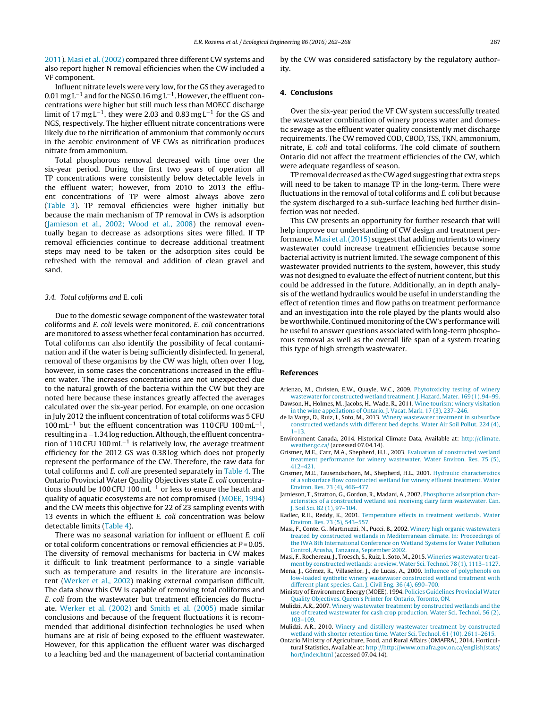<span id="page-5-0"></span>[2011\).](#page-6-0) Masi et al. (2002) compared three different CW systems and also report higher N removal efficiencies when the CW included a VF component.

Influent nitrate levels were very low, for the GS they averaged to 0.01 mg L<sup>-1</sup> and for the NGS 0.16 mg L<sup>-1</sup>. However, the effluent concentrations were higher but still much less than MOECC discharge limit of 17 mg L<sup>-1</sup>, they were 2.03 and 0.83 mg L<sup>-1</sup> for the GS and NGS, respectively. The higher effluent nitrate concentrations were likely due to the nitrification of ammonium that commonly occurs in the aerobic environment of VF CWs as nitrification produces nitrate from ammonium.

Total phosphorous removal decreased with time over the six-year period. During the first two years of operation all TP concentrations were consistently below detectable levels in the effluent water; however, from 2010 to 2013 the effluent concentrations of TP were almost always above zero ([Table](#page-4-0) 3). TP removal efficiencies were higher initially but because the main mechanism of TP removal in CWs is adsorption (Jamieson et al., 2002; Wood et al., 2008) the removal eventually began to decrease as adsorptions sites were filled. If TP removal efficiencies continue to decrease additional treatment steps may need to be taken or the adsorption sites could be refreshed with the removal and addition of clean gravel and sand.

#### 3.4. Total coliforms and E. coli

Due to the domestic sewage component of the wastewater total coliforms and E. coli levels were monitored. E. coli concentrations are monitored to assess whether fecal contamination has occurred. Total coliforms can also identify the possibility of fecal contamination and if the water is being sufficiently disinfected. In general, removal of these organisms by the CW was high, often over 1 log, however, in some cases the concentrations increased in the effluent water. The increases concentrations are not unexpected due to the natural growth of the bacteria within the CW but they are noted here because these instances greatly affected the averages calculated over the six-year period. For example, on one occasion in July 2012 the influent concentration of total coliforms was 5 CFU  $100 \text{ mL}^{-1}$  but the effluent concentration was 110 CFU 100 mL<sup>-1</sup>, resulting in a −1.34 log reduction. Although, the effluent concentration of 110 CFU 100 mL−<sup>1</sup> is relatively low, the average treatment efficiency for the 2012 GS was 0.38 log which does not properly represent the performance of the CW. Therefore, the raw data for total coliforms and E. coli are presented separately in [Table](#page-4-0) 4. The Ontario Provincial Water Quality Objectives state E. coli concentrations should be 100 CFU 100 mL−<sup>1</sup> or less to ensure the heath and quality of aquatic ecosystems are not compromised (MOEE, 1994) and the CW meets this objective for 22 of 23 sampling events with 13 events in which the effluent E. coli concentration was below detectable limits ([Table](#page-4-0) 4).

There was no seasonal variation for influent or effluent E. coli or total coliform concentrations or removal efficiencies at  $P = 0.05$ . The diversity of removal mechanisms for bacteria in CW makes it difficult to link treatment performance to a single variable such as temperature and results in the literature are inconsistent ([Werker](#page-6-0) et [al.,](#page-6-0) [2002\)](#page-6-0) making external comparison difficult. The data show this CW is capable of removing total coliforms and E. coli from the wastewater but treatment efficiencies do fluctuate. [Werker](#page-6-0) et [al.](#page-6-0) [\(2002\)](#page-6-0) and [Smith](#page-6-0) et [al.](#page-6-0) [\(2005\)](#page-6-0) made similar conclusions and because of the frequent fluctuations it is recommended that additional disinfection technologies be used when humans are at risk of being exposed to the effluent wastewater. However, for this application the effluent water was discharged to a leaching bed and the management of bacterial contamination by the CW was considered satisfactory by the regulatory authority.

#### 4. Conclusions

Over the six-year period the VF CW system successfully treated the wastewater combination of winery process water and domestic sewage as the effluent water quality consistently met discharge requirements. The CW removed COD, CBOD, TSS, TKN, ammonium, nitrate, E. coli and total coliforms. The cold climate of southern Ontario did not affect the treatment efficiencies of the CW, which were adequate regardless of season.

TP removal decreased as the CWaged suggesting that extra steps will need to be taken to manage TP in the long-term. There were fluctuations in the removal of total coliforms and  $E$ . coli but because the system discharged to a sub-surface leaching bed further disinfection was not needed.

This CW presents an opportunity for further research that will help improve our understanding of CW design and treatment performance. Masi et al. (2015) suggest that adding nutrients to winery wastewater could increase treatment efficiencies because some bacterial activity is nutrient limited. The sewage component of this wastewater provided nutrients to the system, however, this study was not designed to evaluate the effect of nutrient content, but this could be addressed in the future. Additionally, an in depth analysis of the wetland hydraulics would be useful in understanding the effect of retention times and flow paths on treatment performance and an investigation into the role played by the plants would also be worthwhile. Continued monitoring of the CW's performance will be useful to answer questions associated with long-term phosphorous removal as well as the overall life span of a system treating this type of high strength wastewater.

#### References

- Arienzo, M., Christen, E.W., Quayle, W.C., 2009. [Phytotoxicity](http://refhub.elsevier.com/S0925-8574(15)30267-6/sbref0005) [testing](http://refhub.elsevier.com/S0925-8574(15)30267-6/sbref0005) [of](http://refhub.elsevier.com/S0925-8574(15)30267-6/sbref0005) [winery](http://refhub.elsevier.com/S0925-8574(15)30267-6/sbref0005) [wastewater](http://refhub.elsevier.com/S0925-8574(15)30267-6/sbref0005) [for](http://refhub.elsevier.com/S0925-8574(15)30267-6/sbref0005) [constructed](http://refhub.elsevier.com/S0925-8574(15)30267-6/sbref0005) [wetland](http://refhub.elsevier.com/S0925-8574(15)30267-6/sbref0005) [treatment.](http://refhub.elsevier.com/S0925-8574(15)30267-6/sbref0005) [J.](http://refhub.elsevier.com/S0925-8574(15)30267-6/sbref0005) [Hazard.](http://refhub.elsevier.com/S0925-8574(15)30267-6/sbref0005) [Mater.](http://refhub.elsevier.com/S0925-8574(15)30267-6/sbref0005) [169](http://refhub.elsevier.com/S0925-8574(15)30267-6/sbref0005) [\(1\),](http://refhub.elsevier.com/S0925-8574(15)30267-6/sbref0005) [94](http://refhub.elsevier.com/S0925-8574(15)30267-6/sbref0005)–[99.](http://refhub.elsevier.com/S0925-8574(15)30267-6/sbref0005)
- Dawson, H., Holmes, M., Jacobs, H., Wade, R., 2011. [Wine](http://refhub.elsevier.com/S0925-8574(15)30267-6/sbref0010) [tourism:](http://refhub.elsevier.com/S0925-8574(15)30267-6/sbref0010) [winery](http://refhub.elsevier.com/S0925-8574(15)30267-6/sbref0010) [visitation](http://refhub.elsevier.com/S0925-8574(15)30267-6/sbref0010) [in](http://refhub.elsevier.com/S0925-8574(15)30267-6/sbref0010) [the](http://refhub.elsevier.com/S0925-8574(15)30267-6/sbref0010) [wine](http://refhub.elsevier.com/S0925-8574(15)30267-6/sbref0010) [appellations](http://refhub.elsevier.com/S0925-8574(15)30267-6/sbref0010) [of](http://refhub.elsevier.com/S0925-8574(15)30267-6/sbref0010) [Ontario.](http://refhub.elsevier.com/S0925-8574(15)30267-6/sbref0010) [J.](http://refhub.elsevier.com/S0925-8574(15)30267-6/sbref0010) [Vacat.](http://refhub.elsevier.com/S0925-8574(15)30267-6/sbref0010) [Mark.](http://refhub.elsevier.com/S0925-8574(15)30267-6/sbref0010) [17](http://refhub.elsevier.com/S0925-8574(15)30267-6/sbref0010) [\(3\),](http://refhub.elsevier.com/S0925-8574(15)30267-6/sbref0010) [237](http://refhub.elsevier.com/S0925-8574(15)30267-6/sbref0010)–[246.](http://refhub.elsevier.com/S0925-8574(15)30267-6/sbref0010)
- de la Varga, D., Ruiz, I., Soto, M., 2013. [Winery](http://refhub.elsevier.com/S0925-8574(15)30267-6/sbref0015) [wastewater](http://refhub.elsevier.com/S0925-8574(15)30267-6/sbref0015) [treatment](http://refhub.elsevier.com/S0925-8574(15)30267-6/sbref0015) [in](http://refhub.elsevier.com/S0925-8574(15)30267-6/sbref0015) [subsurface](http://refhub.elsevier.com/S0925-8574(15)30267-6/sbref0015) [constructed](http://refhub.elsevier.com/S0925-8574(15)30267-6/sbref0015) [wetlands](http://refhub.elsevier.com/S0925-8574(15)30267-6/sbref0015) [with](http://refhub.elsevier.com/S0925-8574(15)30267-6/sbref0015) [different](http://refhub.elsevier.com/S0925-8574(15)30267-6/sbref0015) [bed](http://refhub.elsevier.com/S0925-8574(15)30267-6/sbref0015) [depths.](http://refhub.elsevier.com/S0925-8574(15)30267-6/sbref0015) [Water](http://refhub.elsevier.com/S0925-8574(15)30267-6/sbref0015) [Air](http://refhub.elsevier.com/S0925-8574(15)30267-6/sbref0015) [Soil](http://refhub.elsevier.com/S0925-8574(15)30267-6/sbref0015) [Pollut.](http://refhub.elsevier.com/S0925-8574(15)30267-6/sbref0015) [224](http://refhub.elsevier.com/S0925-8574(15)30267-6/sbref0015) [\(4\),](http://refhub.elsevier.com/S0925-8574(15)30267-6/sbref0015) [1](http://refhub.elsevier.com/S0925-8574(15)30267-6/sbref0015)–[13.](http://refhub.elsevier.com/S0925-8574(15)30267-6/sbref0015)
- Environment Canada, 2014. Historical Climate Data, Available at: [http://climate.](http://climate.weather.gc.ca/) [weather.gc.ca/](http://climate.weather.gc.ca/) (accessed 07.04.14).
- Grismer, M.E., Carr, M.A., Shepherd, H.L., 2003. [Evaluation](http://refhub.elsevier.com/S0925-8574(15)30267-6/sbref0025) [of](http://refhub.elsevier.com/S0925-8574(15)30267-6/sbref0025) [constructed](http://refhub.elsevier.com/S0925-8574(15)30267-6/sbref0025) [wetland](http://refhub.elsevier.com/S0925-8574(15)30267-6/sbref0025) [treatment](http://refhub.elsevier.com/S0925-8574(15)30267-6/sbref0025) [performance](http://refhub.elsevier.com/S0925-8574(15)30267-6/sbref0025) [for](http://refhub.elsevier.com/S0925-8574(15)30267-6/sbref0025) [winery](http://refhub.elsevier.com/S0925-8574(15)30267-6/sbref0025) [wastewater.](http://refhub.elsevier.com/S0925-8574(15)30267-6/sbref0025) [Water](http://refhub.elsevier.com/S0925-8574(15)30267-6/sbref0025) [Environ.](http://refhub.elsevier.com/S0925-8574(15)30267-6/sbref0025) [Res.](http://refhub.elsevier.com/S0925-8574(15)30267-6/sbref0025) [75](http://refhub.elsevier.com/S0925-8574(15)30267-6/sbref0025) [\(5\),](http://refhub.elsevier.com/S0925-8574(15)30267-6/sbref0025) [412](http://refhub.elsevier.com/S0925-8574(15)30267-6/sbref0025)–[421.](http://refhub.elsevier.com/S0925-8574(15)30267-6/sbref0025)
- Grismer, M.E., Tausendschoen, M., Shepherd, H.L., 2001. [Hydraulic](http://refhub.elsevier.com/S0925-8574(15)30267-6/sbref0030) [characteristics](http://refhub.elsevier.com/S0925-8574(15)30267-6/sbref0030) [of](http://refhub.elsevier.com/S0925-8574(15)30267-6/sbref0030) [a](http://refhub.elsevier.com/S0925-8574(15)30267-6/sbref0030) [subsurface](http://refhub.elsevier.com/S0925-8574(15)30267-6/sbref0030) [flow](http://refhub.elsevier.com/S0925-8574(15)30267-6/sbref0030) [constructed](http://refhub.elsevier.com/S0925-8574(15)30267-6/sbref0030) [wetland](http://refhub.elsevier.com/S0925-8574(15)30267-6/sbref0030) [for](http://refhub.elsevier.com/S0925-8574(15)30267-6/sbref0030) [winery](http://refhub.elsevier.com/S0925-8574(15)30267-6/sbref0030) [effluent](http://refhub.elsevier.com/S0925-8574(15)30267-6/sbref0030) [treatment.](http://refhub.elsevier.com/S0925-8574(15)30267-6/sbref0030) [Water](http://refhub.elsevier.com/S0925-8574(15)30267-6/sbref0030) [Environ.](http://refhub.elsevier.com/S0925-8574(15)30267-6/sbref0030) [Res.](http://refhub.elsevier.com/S0925-8574(15)30267-6/sbref0030) [73](http://refhub.elsevier.com/S0925-8574(15)30267-6/sbref0030) [\(4\),](http://refhub.elsevier.com/S0925-8574(15)30267-6/sbref0030) [466–477.](http://refhub.elsevier.com/S0925-8574(15)30267-6/sbref0030)
- Jamieson, T., Stratton, G., Gordon, R., Madani, A., 2002. [Phosphorus](http://refhub.elsevier.com/S0925-8574(15)30267-6/sbref0035) [adsorption](http://refhub.elsevier.com/S0925-8574(15)30267-6/sbref0035) [char](http://refhub.elsevier.com/S0925-8574(15)30267-6/sbref0035)[acteristics](http://refhub.elsevier.com/S0925-8574(15)30267-6/sbref0035) [of](http://refhub.elsevier.com/S0925-8574(15)30267-6/sbref0035) [a](http://refhub.elsevier.com/S0925-8574(15)30267-6/sbref0035) [constructed](http://refhub.elsevier.com/S0925-8574(15)30267-6/sbref0035) [wetland](http://refhub.elsevier.com/S0925-8574(15)30267-6/sbref0035) [soil](http://refhub.elsevier.com/S0925-8574(15)30267-6/sbref0035) [receiving](http://refhub.elsevier.com/S0925-8574(15)30267-6/sbref0035) [dairy](http://refhub.elsevier.com/S0925-8574(15)30267-6/sbref0035) [farm](http://refhub.elsevier.com/S0925-8574(15)30267-6/sbref0035) [wastewater.](http://refhub.elsevier.com/S0925-8574(15)30267-6/sbref0035) [Can.](http://refhub.elsevier.com/S0925-8574(15)30267-6/sbref0035) [J.](http://refhub.elsevier.com/S0925-8574(15)30267-6/sbref0035) [Soil](http://refhub.elsevier.com/S0925-8574(15)30267-6/sbref0035) [Sci.](http://refhub.elsevier.com/S0925-8574(15)30267-6/sbref0035) [82](http://refhub.elsevier.com/S0925-8574(15)30267-6/sbref0035) [\(1\),](http://refhub.elsevier.com/S0925-8574(15)30267-6/sbref0035) [97–104.](http://refhub.elsevier.com/S0925-8574(15)30267-6/sbref0035)
- Kadlec, R.H., Reddy, K., 2001. [Temperature](http://refhub.elsevier.com/S0925-8574(15)30267-6/sbref0040) [effects](http://refhub.elsevier.com/S0925-8574(15)30267-6/sbref0040) [in](http://refhub.elsevier.com/S0925-8574(15)30267-6/sbref0040) [treatment](http://refhub.elsevier.com/S0925-8574(15)30267-6/sbref0040) [wetlands.](http://refhub.elsevier.com/S0925-8574(15)30267-6/sbref0040) [Water](http://refhub.elsevier.com/S0925-8574(15)30267-6/sbref0040) [Environ.](http://refhub.elsevier.com/S0925-8574(15)30267-6/sbref0040) [Res.](http://refhub.elsevier.com/S0925-8574(15)30267-6/sbref0040) [73](http://refhub.elsevier.com/S0925-8574(15)30267-6/sbref0040) [\(5\),](http://refhub.elsevier.com/S0925-8574(15)30267-6/sbref0040) [543–557.](http://refhub.elsevier.com/S0925-8574(15)30267-6/sbref0040)
- Masi, F., Conte, G., Martinuzzi, N., Pucci, B., 2002. [Winery](http://refhub.elsevier.com/S0925-8574(15)30267-6/sbref0045) [high](http://refhub.elsevier.com/S0925-8574(15)30267-6/sbref0045) [organic](http://refhub.elsevier.com/S0925-8574(15)30267-6/sbref0045) [wastewaters](http://refhub.elsevier.com/S0925-8574(15)30267-6/sbref0045) [treated](http://refhub.elsevier.com/S0925-8574(15)30267-6/sbref0045) [by](http://refhub.elsevier.com/S0925-8574(15)30267-6/sbref0045) [constructed](http://refhub.elsevier.com/S0925-8574(15)30267-6/sbref0045) [wetlands](http://refhub.elsevier.com/S0925-8574(15)30267-6/sbref0045) [in](http://refhub.elsevier.com/S0925-8574(15)30267-6/sbref0045) [Mediterranean](http://refhub.elsevier.com/S0925-8574(15)30267-6/sbref0045) [climate.](http://refhub.elsevier.com/S0925-8574(15)30267-6/sbref0045) [In:](http://refhub.elsevier.com/S0925-8574(15)30267-6/sbref0045) [Proceedings](http://refhub.elsevier.com/S0925-8574(15)30267-6/sbref0045) [of](http://refhub.elsevier.com/S0925-8574(15)30267-6/sbref0045) [the](http://refhub.elsevier.com/S0925-8574(15)30267-6/sbref0045) [IWA](http://refhub.elsevier.com/S0925-8574(15)30267-6/sbref0045) [8th](http://refhub.elsevier.com/S0925-8574(15)30267-6/sbref0045) [International](http://refhub.elsevier.com/S0925-8574(15)30267-6/sbref0045) [Conference](http://refhub.elsevier.com/S0925-8574(15)30267-6/sbref0045) [on](http://refhub.elsevier.com/S0925-8574(15)30267-6/sbref0045) [Wetland](http://refhub.elsevier.com/S0925-8574(15)30267-6/sbref0045) [Systems](http://refhub.elsevier.com/S0925-8574(15)30267-6/sbref0045) [for](http://refhub.elsevier.com/S0925-8574(15)30267-6/sbref0045) [Water](http://refhub.elsevier.com/S0925-8574(15)30267-6/sbref0045) [Pollution](http://refhub.elsevier.com/S0925-8574(15)30267-6/sbref0045) [Control,](http://refhub.elsevier.com/S0925-8574(15)30267-6/sbref0045) [Arusha,](http://refhub.elsevier.com/S0925-8574(15)30267-6/sbref0045) [Tanzania,](http://refhub.elsevier.com/S0925-8574(15)30267-6/sbref0045) [September](http://refhub.elsevier.com/S0925-8574(15)30267-6/sbref0045) [2002.](http://refhub.elsevier.com/S0925-8574(15)30267-6/sbref0045)
- Masi, F., Rochereau, J., Troesch, S., Ruiz, I., Soto, M., 2015. [Wineries](http://refhub.elsevier.com/S0925-8574(15)30267-6/sbref0050) [wastewater](http://refhub.elsevier.com/S0925-8574(15)30267-6/sbref0050) [treat](http://refhub.elsevier.com/S0925-8574(15)30267-6/sbref0050)[ment](http://refhub.elsevier.com/S0925-8574(15)30267-6/sbref0050) [by](http://refhub.elsevier.com/S0925-8574(15)30267-6/sbref0050) [constructed](http://refhub.elsevier.com/S0925-8574(15)30267-6/sbref0050) [wetlands:](http://refhub.elsevier.com/S0925-8574(15)30267-6/sbref0050) [a](http://refhub.elsevier.com/S0925-8574(15)30267-6/sbref0050) [review.](http://refhub.elsevier.com/S0925-8574(15)30267-6/sbref0050) [Water](http://refhub.elsevier.com/S0925-8574(15)30267-6/sbref0050) [Sci.](http://refhub.elsevier.com/S0925-8574(15)30267-6/sbref0050) [Technol.](http://refhub.elsevier.com/S0925-8574(15)30267-6/sbref0050) [78](http://refhub.elsevier.com/S0925-8574(15)30267-6/sbref0050) [\(1\),](http://refhub.elsevier.com/S0925-8574(15)30267-6/sbref0050) [1113–1127.](http://refhub.elsevier.com/S0925-8574(15)30267-6/sbref0050)
- Mena, J., Gómez, R., Villaseñor, J., de Lucas, A., 2009. [Influence](http://refhub.elsevier.com/S0925-8574(15)30267-6/sbref0055) [of](http://refhub.elsevier.com/S0925-8574(15)30267-6/sbref0055) [polyphenols](http://refhub.elsevier.com/S0925-8574(15)30267-6/sbref0055) [on](http://refhub.elsevier.com/S0925-8574(15)30267-6/sbref0055) [low-loaded](http://refhub.elsevier.com/S0925-8574(15)30267-6/sbref0055) [synthetic](http://refhub.elsevier.com/S0925-8574(15)30267-6/sbref0055) [winery](http://refhub.elsevier.com/S0925-8574(15)30267-6/sbref0055) [wastewater](http://refhub.elsevier.com/S0925-8574(15)30267-6/sbref0055) [constructed](http://refhub.elsevier.com/S0925-8574(15)30267-6/sbref0055) [wetland](http://refhub.elsevier.com/S0925-8574(15)30267-6/sbref0055) [treatment](http://refhub.elsevier.com/S0925-8574(15)30267-6/sbref0055) [with](http://refhub.elsevier.com/S0925-8574(15)30267-6/sbref0055) [different](http://refhub.elsevier.com/S0925-8574(15)30267-6/sbref0055) [plant](http://refhub.elsevier.com/S0925-8574(15)30267-6/sbref0055) [species.](http://refhub.elsevier.com/S0925-8574(15)30267-6/sbref0055) [Can.](http://refhub.elsevier.com/S0925-8574(15)30267-6/sbref0055) [J.](http://refhub.elsevier.com/S0925-8574(15)30267-6/sbref0055) [Civil](http://refhub.elsevier.com/S0925-8574(15)30267-6/sbref0055) [Eng.](http://refhub.elsevier.com/S0925-8574(15)30267-6/sbref0055) [36](http://refhub.elsevier.com/S0925-8574(15)30267-6/sbref0055) [\(4\),](http://refhub.elsevier.com/S0925-8574(15)30267-6/sbref0055) [690](http://refhub.elsevier.com/S0925-8574(15)30267-6/sbref0055)–[700.](http://refhub.elsevier.com/S0925-8574(15)30267-6/sbref0055)
- Ministry of Environment Energy (MOEE), 1994. [Policies](http://refhub.elsevier.com/S0925-8574(15)30267-6/sbref0060) [Guidelines](http://refhub.elsevier.com/S0925-8574(15)30267-6/sbref0060) [Provincial](http://refhub.elsevier.com/S0925-8574(15)30267-6/sbref0060) [Water](http://refhub.elsevier.com/S0925-8574(15)30267-6/sbref0060) [Quality](http://refhub.elsevier.com/S0925-8574(15)30267-6/sbref0060) [Objectives.](http://refhub.elsevier.com/S0925-8574(15)30267-6/sbref0060) [Queen's](http://refhub.elsevier.com/S0925-8574(15)30267-6/sbref0060) [Printer](http://refhub.elsevier.com/S0925-8574(15)30267-6/sbref0060) [for](http://refhub.elsevier.com/S0925-8574(15)30267-6/sbref0060) [Ontario,](http://refhub.elsevier.com/S0925-8574(15)30267-6/sbref0060) [Toronto,](http://refhub.elsevier.com/S0925-8574(15)30267-6/sbref0060) [ON.](http://refhub.elsevier.com/S0925-8574(15)30267-6/sbref0060)
- Mulidzi, A.R., 2007. [Winery](http://refhub.elsevier.com/S0925-8574(15)30267-6/sbref0065) [wastewater](http://refhub.elsevier.com/S0925-8574(15)30267-6/sbref0065) [treatment](http://refhub.elsevier.com/S0925-8574(15)30267-6/sbref0065) [by](http://refhub.elsevier.com/S0925-8574(15)30267-6/sbref0065) [constructed](http://refhub.elsevier.com/S0925-8574(15)30267-6/sbref0065) [wetlands](http://refhub.elsevier.com/S0925-8574(15)30267-6/sbref0065) [and](http://refhub.elsevier.com/S0925-8574(15)30267-6/sbref0065) [the](http://refhub.elsevier.com/S0925-8574(15)30267-6/sbref0065) [use](http://refhub.elsevier.com/S0925-8574(15)30267-6/sbref0065) [of](http://refhub.elsevier.com/S0925-8574(15)30267-6/sbref0065) [treated](http://refhub.elsevier.com/S0925-8574(15)30267-6/sbref0065) [wastewater](http://refhub.elsevier.com/S0925-8574(15)30267-6/sbref0065) [for](http://refhub.elsevier.com/S0925-8574(15)30267-6/sbref0065) [cash](http://refhub.elsevier.com/S0925-8574(15)30267-6/sbref0065) [crop](http://refhub.elsevier.com/S0925-8574(15)30267-6/sbref0065) [production.](http://refhub.elsevier.com/S0925-8574(15)30267-6/sbref0065) [Water](http://refhub.elsevier.com/S0925-8574(15)30267-6/sbref0065) [Sci.](http://refhub.elsevier.com/S0925-8574(15)30267-6/sbref0065) [Technol.](http://refhub.elsevier.com/S0925-8574(15)30267-6/sbref0065) [56](http://refhub.elsevier.com/S0925-8574(15)30267-6/sbref0065) [\(2\),](http://refhub.elsevier.com/S0925-8574(15)30267-6/sbref0065) [103](http://refhub.elsevier.com/S0925-8574(15)30267-6/sbref0065)–[109.](http://refhub.elsevier.com/S0925-8574(15)30267-6/sbref0065)
- Mulidzi, A.R., 2010. [Winery](http://refhub.elsevier.com/S0925-8574(15)30267-6/sbref0070) [and](http://refhub.elsevier.com/S0925-8574(15)30267-6/sbref0070) [distillery](http://refhub.elsevier.com/S0925-8574(15)30267-6/sbref0070) [wastewater](http://refhub.elsevier.com/S0925-8574(15)30267-6/sbref0070) [treatment](http://refhub.elsevier.com/S0925-8574(15)30267-6/sbref0070) [by](http://refhub.elsevier.com/S0925-8574(15)30267-6/sbref0070) [constructed](http://refhub.elsevier.com/S0925-8574(15)30267-6/sbref0070) [wetland](http://refhub.elsevier.com/S0925-8574(15)30267-6/sbref0070) [with](http://refhub.elsevier.com/S0925-8574(15)30267-6/sbref0070) [shorter](http://refhub.elsevier.com/S0925-8574(15)30267-6/sbref0070) [retention](http://refhub.elsevier.com/S0925-8574(15)30267-6/sbref0070) [time.](http://refhub.elsevier.com/S0925-8574(15)30267-6/sbref0070) [Water](http://refhub.elsevier.com/S0925-8574(15)30267-6/sbref0070) [Sci.](http://refhub.elsevier.com/S0925-8574(15)30267-6/sbref0070) [Technol.](http://refhub.elsevier.com/S0925-8574(15)30267-6/sbref0070) [61](http://refhub.elsevier.com/S0925-8574(15)30267-6/sbref0070) [\(10\),](http://refhub.elsevier.com/S0925-8574(15)30267-6/sbref0070) [2611–2615.](http://refhub.elsevier.com/S0925-8574(15)30267-6/sbref0070)
- Ontario Ministry of Agriculture, Food, and Rural Affairs (OMAFRA), 2014. Horticultural Statistics, Available at: [http://http://www.omafra.gov.on.ca/english/stats/](http://http//www.omafra.gov.on.ca/english/stats/hort/index.html) [hort/index.html](http://http//www.omafra.gov.on.ca/english/stats/hort/index.html) (accessed 07.04.14).